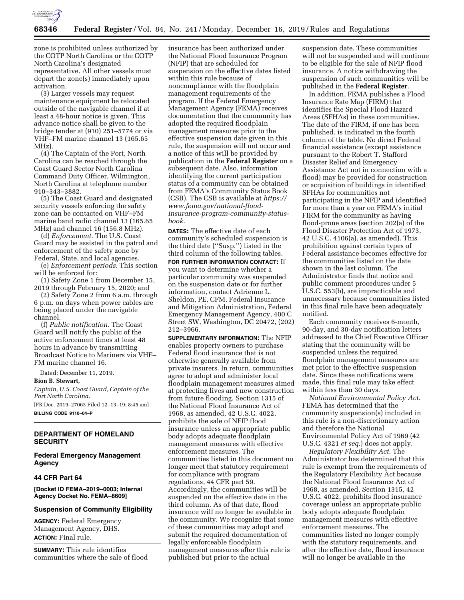

zone is prohibited unless authorized by the COTP North Carolina or the COTP North Carolina's designated representative. All other vessels must depart the zone(s) immediately upon activation.

(3) Larger vessels may request maintenance equipment be relocated outside of the navigable channel if at least a 48-hour notice is given. This advance notice shall be given to the bridge tender at (910) 251–5774 or via VHF–FM marine channel 13 (165.65 MHz).

(4) The Captain of the Port, North Carolina can be reached through the Coast Guard Sector North Carolina Command Duty Officer, Wilmington, North Carolina at telephone number 910–343–3882.

(5) The Coast Guard and designated security vessels enforcing the safety zone can be contacted on VHF–FM marine band radio channel 13 (165.65 MHz) and channel 16 (156.8 MHz).

(d) *Enforcement.* The U.S. Coast Guard may be assisted in the patrol and enforcement of the safety zone by Federal, State, and local agencies.

(e) *Enforcement periods.* This section will be enforced for:

(1) Safety Zone 1 from December 15, 2019 through February 15, 2020; and

(2) Safety Zone 2 from 6 a.m. through 6 p.m. on days when power cables are being placed under the navigable channel.

(f) *Public notification.* The Coast Guard will notify the public of the active enforcement times at least 48 hours in advance by transmitting Broadcast Notice to Mariners via VHF– FM marine channel 16.

Dated: December 11, 2019.

**Bion B. Stewart,** 

*Captain, U.S. Coast Guard, Captain of the Port North Carolina.* 

[FR Doc. 2019–27063 Filed 12–13–19; 8:45 am] **BILLING CODE 9110–04–P** 

## **DEPARTMENT OF HOMELAND SECURITY**

# **Federal Emergency Management Agency**

#### **44 CFR Part 64**

**[Docket ID FEMA–2019–0003; Internal Agency Docket No. FEMA–8609]** 

### **Suspension of Community Eligibility**

**AGENCY:** Federal Emergency Management Agency, DHS. **ACTION:** Final rule.

**SUMMARY:** This rule identifies communities where the sale of flood insurance has been authorized under the National Flood Insurance Program (NFIP) that are scheduled for suspension on the effective dates listed within this rule because of noncompliance with the floodplain management requirements of the program. If the Federal Emergency Management Agency (FEMA) receives documentation that the community has adopted the required floodplain management measures prior to the effective suspension date given in this rule, the suspension will not occur and a notice of this will be provided by publication in the **Federal Register** on a subsequent date. Also, information identifying the current participation status of a community can be obtained from FEMA's Community Status Book (CSB). The CSB is available at *[https://](https://www.fema.gov/national-flood-insurance-program-community-status-book) [www.fema.gov/national-flood](https://www.fema.gov/national-flood-insurance-program-community-status-book)[insurance-program-community-status](https://www.fema.gov/national-flood-insurance-program-community-status-book)[book](https://www.fema.gov/national-flood-insurance-program-community-status-book)*.

**DATES:** The effective date of each community's scheduled suspension is the third date (''Susp.'') listed in the third column of the following tables.

**FOR FURTHER INFORMATION CONTACT:** If you want to determine whether a particular community was suspended on the suspension date or for further information, contact Adrienne L. Sheldon, PE, CFM, Federal Insurance and Mitigation Administration, Federal Emergency Management Agency, 400 C Street SW, Washington, DC 20472, (202) 212–3966.

**SUPPLEMENTARY INFORMATION:** The NFIP enables property owners to purchase Federal flood insurance that is not otherwise generally available from private insurers. In return, communities agree to adopt and administer local floodplain management measures aimed at protecting lives and new construction from future flooding. Section 1315 of the National Flood Insurance Act of 1968, as amended, 42 U.S.C. 4022, prohibits the sale of NFIP flood insurance unless an appropriate public body adopts adequate floodplain management measures with effective enforcement measures. The communities listed in this document no longer meet that statutory requirement for compliance with program regulations, 44 CFR part 59. Accordingly, the communities will be suspended on the effective date in the third column. As of that date, flood insurance will no longer be available in the community. We recognize that some of these communities may adopt and submit the required documentation of legally enforceable floodplain management measures after this rule is published but prior to the actual

suspension date. These communities will not be suspended and will continue to be eligible for the sale of NFIP flood insurance. A notice withdrawing the suspension of such communities will be published in the **Federal Register**.

In addition, FEMA publishes a Flood Insurance Rate Map (FIRM) that identifies the Special Flood Hazard Areas (SFHAs) in these communities. The date of the FIRM, if one has been published, is indicated in the fourth column of the table. No direct Federal financial assistance (except assistance pursuant to the Robert T. Stafford Disaster Relief and Emergency Assistance Act not in connection with a flood) may be provided for construction or acquisition of buildings in identified SFHAs for communities not participating in the NFIP and identified for more than a year on FEMA's initial FIRM for the community as having flood-prone areas (section 202(a) of the Flood Disaster Protection Act of 1973, 42 U.S.C. 4106(a), as amended). This prohibition against certain types of Federal assistance becomes effective for the communities listed on the date shown in the last column. The Administrator finds that notice and public comment procedures under 5 U.S.C. 553(b), are impracticable and unnecessary because communities listed in this final rule have been adequately notified.

Each community receives 6-month, 90-day, and 30-day notification letters addressed to the Chief Executive Officer stating that the community will be suspended unless the required floodplain management measures are met prior to the effective suspension date. Since these notifications were made, this final rule may take effect within less than 30 days.

*National Environmental Policy Act.*  FEMA has determined that the community suspension(s) included in this rule is a non-discretionary action and therefore the National Environmental Policy Act of 1969 (42 U.S.C. 4321 *et seq.*) does not apply.

*Regulatory Flexibility Act.* The Administrator has determined that this rule is exempt from the requirements of the Regulatory Flexibility Act because the National Flood Insurance Act of 1968, as amended, Section 1315, 42 U.S.C. 4022, prohibits flood insurance coverage unless an appropriate public body adopts adequate floodplain management measures with effective enforcement measures. The communities listed no longer comply with the statutory requirements, and after the effective date, flood insurance will no longer be available in the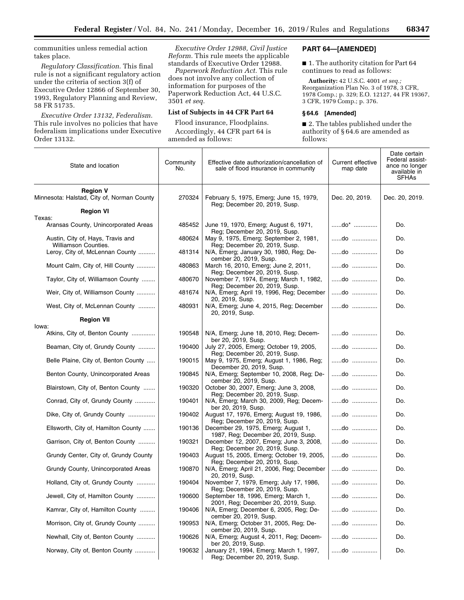communities unless remedial action takes place.

*Regulatory Classification.* This final rule is not a significant regulatory action under the criteria of section 3(f) of Executive Order 12866 of September 30, 1993, Regulatory Planning and Review, 58 FR 51735.

*Executive Order 13132, Federalism.*  This rule involves no policies that have federalism implications under Executive Order 13132.

*Executive Order 12988, Civil Justice Reform.* This rule meets the applicable standards of Executive Order 12988.

*Paperwork Reduction Act.* This rule does not involve any collection of information for purposes of the Paperwork Reduction Act, 44 U.S.C. 3501 *et seq.* 

# **List of Subjects in 44 CFR Part 64**

Flood insurance, Floodplains. Accordingly, 44 CFR part 64 is amended as follows:

## **PART 64—[AMENDED]**

■ 1. The authority citation for Part 64 continues to read as follows:

**Authority:** 42 U.S.C. 4001 *et seq.;*  Reorganization Plan No. 3 of 1978, 3 CFR, 1978 Comp.; p. 329; E.O. 12127, 44 FR 19367, 3 CFR, 1979 Comp.; p. 376.

### **§ 64.6 [Amended]**

■ 2. The tables published under the authority of § 64.6 are amended as follows:

| State and location                                            | Community<br>No. | Effective date authorization/cancellation of<br>sale of flood insurance in community                  | Current effective<br>map date               | Date certain<br>Federal assist-<br>ance no longer<br>available in<br><b>SFHAs</b> |
|---------------------------------------------------------------|------------------|-------------------------------------------------------------------------------------------------------|---------------------------------------------|-----------------------------------------------------------------------------------|
| <b>Region V</b><br>Minnesota: Halstad, City of, Norman County | 270324           | February 5, 1975, Emerg; June 15, 1979,<br>Reg; December 20, 2019, Susp.                              | Dec. 20, 2019.                              | Dec. 20, 2019.                                                                    |
| <b>Region VI</b>                                              |                  |                                                                                                       |                                             |                                                                                   |
| Texas:<br>Aransas County, Unincorporated Areas                | 485452           | June 19, 1970, Emerg; August 6, 1971,<br>Reg; December 20, 2019, Susp.                                | $$ do* $$                                   | Do.                                                                               |
| Austin, City of, Hays, Travis and<br>Williamson Counties.     | 480624           | May 9, 1975, Emerg; September 2, 1981,<br>Reg; December 20, 2019, Susp.                               | do                                          | Do.                                                                               |
| Leroy, City of, McLennan County                               | 481314           | N/A, Emerg; January 30, 1980, Reg; De-<br>cember 20, 2019, Susp.                                      | do                                          | Do                                                                                |
| Mount Calm, City of, Hill County                              | 480863           | March 16, 2010, Emerg; June 2, 2011,<br>Reg; December 20, 2019, Susp.                                 | do                                          | Do.                                                                               |
| Taylor, City of, Williamson County                            | 480670           | November 7, 1974, Emerg; March 1, 1982,<br>Reg; December 20, 2019, Susp.                              | do                                          | Do.                                                                               |
| Weir, City of, Williamson County                              | 481674           | N/A, Emerg; April 19, 1996, Reg; December<br>20, 2019, Susp.                                          | do                                          | Do.                                                                               |
| West, City of, McLennan County                                | 480931           | N/A, Emerg; June 4, 2015, Reg; December<br>20, 2019, Susp.                                            | do                                          | Do.                                                                               |
| <b>Region VII</b>                                             |                  |                                                                                                       |                                             |                                                                                   |
| lowa:<br>Atkins, City of, Benton County                       | 190548           | N/A, Emerg; June 18, 2010, Reg; Decem-<br>ber 20, 2019, Susp.                                         | do                                          | Do.                                                                               |
| Beaman, City of, Grundy County                                | 190400           | July 27, 2005, Emerg; October 19, 2005,                                                               | $\dots$ do $\dots$                          | Do.                                                                               |
| Belle Plaine, City of, Benton County                          | 190015           | Reg; December 20, 2019, Susp.<br>May 9, 1975, Emerg; August 1, 1986, Reg;<br>December 20, 2019, Susp. | $$ do $$                                    | Do.                                                                               |
| Benton County, Unincorporated Areas                           | 190845           | N/A, Emerg; September 10, 2008, Reg; De-<br>cember 20, 2019, Susp.                                    | do                                          | Do.                                                                               |
| Blairstown, City of, Benton County                            | 190320           | October 30, 2007, Emerg; June 3, 2008,<br>Reg; December 20, 2019, Susp.                               | do                                          | Do.                                                                               |
| Conrad, City of, Grundy County                                | 190401           | N/A, Emerg; March 30, 2009, Reg; Decem-<br>ber 20, 2019, Susp.                                        | do                                          | Do.                                                                               |
| Dike, City of, Grundy County                                  | 190402           | August 17, 1976, Emerg; August 19, 1986,<br>Reg; December 20, 2019, Susp.                             | do                                          | Do.                                                                               |
| Ellsworth, City of, Hamilton County                           | 190136           | December 29, 1975, Emerg; August 1,<br>1987, Reg; December 20, 2019, Susp.                            | do                                          | Do.                                                                               |
| Garrison, City of, Benton County                              | 190321           | December 12, 2007, Emerg; June 3, 2008,<br>Reg; December 20, 2019, Susp.                              | do                                          | Do.                                                                               |
| Grundy Center, City of, Grundy County                         | 190403           | August 15, 2005, Emerg; October 19, 2005,<br>Reg; December 20, 2019, Susp.                            | $$ do $$                                    | Do.                                                                               |
| Grundy County, Unincorporated Areas                           | 190870           | N/A, Emerg; April 21, 2006, Reg; December<br>20, 2019, Susp.                                          | do                                          | Do.                                                                               |
| Holland, City of, Grundy County                               | 190404           | November 7, 1979, Emerg; July 17, 1986,<br>Reg; December 20, 2019, Susp.                              | do                                          | Do.                                                                               |
| Jewell, City of, Hamilton County                              | 190600           | September 18, 1996, Emerg; March 1,<br>2001, Reg; December 20, 2019, Susp.                            | do                                          | Do.                                                                               |
| Kamrar, City of, Hamilton County                              | 190406           | N/A, Emerg; December 6, 2005, Reg; De-<br>cember 20, 2019, Susp.                                      | $\dots \dots$ .do $\dots \dots \dots \dots$ | Do.                                                                               |
| Morrison, City of, Grundy County                              | 190953           | N/A, Emerg; October 31, 2005, Reg; De-<br>cember 20, 2019, Susp.                                      | do                                          | Do.                                                                               |
| Newhall, City of, Benton County                               | 190626           | N/A, Emerg: August 4, 2011, Reg: Decem-<br>ber 20, 2019, Susp.                                        | do                                          | Do.                                                                               |
| Norway, City of, Benton County                                | 190632           | January 21, 1994, Emerg; March 1, 1997,<br>Reg; December 20, 2019, Susp.                              | do                                          | Do.                                                                               |